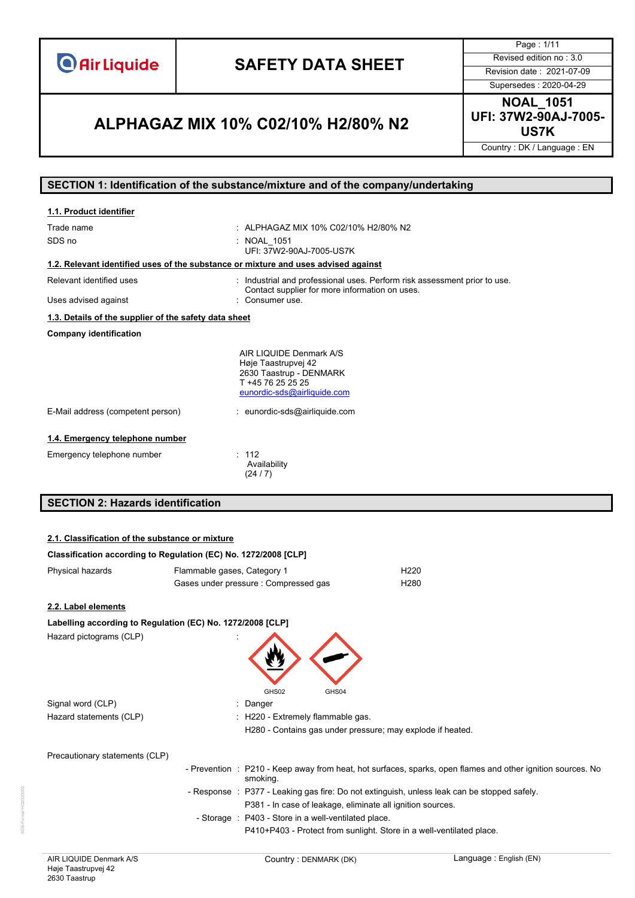**O** Air Liquide

# **SAFETY DATA SHEET** Revised edition no : 3.0

Page : 1/11

Supersedes : 2020-04-29

### **US7K ALPHAGAZ MIX 10% C02/10% H2/80% N2**

**NOAL\_1051 UFI: 37W2-90AJ-7005-**

Country : DK / Language : EN

#### **SECTION 1: Identification of the substance/mixture and of the company/undertaking**

| 1.1. Product identifier                                                            |                                                                                                                               |
|------------------------------------------------------------------------------------|-------------------------------------------------------------------------------------------------------------------------------|
| Trade name                                                                         | : ALPHAGAZ MIX 10% C02/10% H2/80% N2                                                                                          |
| SDS no                                                                             | : NOAL 1051<br>UFI: 37W2-90AJ-7005-US7K                                                                                       |
| 1.2. Relevant identified uses of the substance or mixture and uses advised against |                                                                                                                               |
| Relevant identified uses                                                           | : Industrial and professional uses. Perform risk assessment prior to use.<br>Contact supplier for more information on uses.   |
| Uses advised against                                                               | Consumer use.                                                                                                                 |
| 1.3. Details of the supplier of the safety data sheet                              |                                                                                                                               |
| <b>Company identification</b>                                                      |                                                                                                                               |
|                                                                                    | AIR LIQUIDE Denmark A/S<br>Høje Taastrupvej 42<br>2630 Taastrup - DENMARK<br>T +45 76 25 25 25<br>eunordic-sds@airliquide.com |
| E-Mail address (competent person)                                                  | : eunordic-sds@airliquide.com                                                                                                 |
| 1.4. Emergency telephone number                                                    |                                                                                                                               |
| Emergency telephone number                                                         | : 112<br>Availability<br>(24/7)                                                                                               |

### **SECTION 2: Hazards identification**

#### **2.1. Classification of the substance or mixture**

| Classification according to Regulation (EC) No. 1272/2008 [CLP] |                             |                                                                                                                         |
|-----------------------------------------------------------------|-----------------------------|-------------------------------------------------------------------------------------------------------------------------|
| Physical hazards                                                | Flammable gases, Category 1 | H <sub>220</sub>                                                                                                        |
|                                                                 |                             | Gases under pressure : Compressed gas<br>H <sub>280</sub>                                                               |
| 2.2. Label elements                                             |                             |                                                                                                                         |
| Labelling according to Regulation (EC) No. 1272/2008 [CLP]      |                             |                                                                                                                         |
| Hazard pictograms (CLP)                                         |                             | GHS02<br>GHS04                                                                                                          |
| Signal word (CLP)                                               |                             | : Danger                                                                                                                |
| Hazard statements (CLP)                                         |                             | : H220 - Extremely flammable gas.                                                                                       |
|                                                                 |                             | H280 - Contains gas under pressure; may explode if heated.                                                              |
| Precautionary statements (CLP)                                  |                             |                                                                                                                         |
|                                                                 |                             | - Prevention : P210 - Keep away from heat, hot surfaces, sparks, open flames and other ignition sources. No<br>smoking. |
|                                                                 |                             | - Response : P377 - Leaking gas fire: Do not extinguish, unless leak can be stopped safely.                             |
|                                                                 |                             | P381 - In case of leakage, eliminate all ignition sources.                                                              |
|                                                                 |                             | - Storage : P403 - Store in a well-ventilated place.                                                                    |
|                                                                 |                             | P410+P403 - Protect from sunlight. Store in a well-ventilated place.                                                    |
|                                                                 |                             |                                                                                                                         |

SDS-Format HG2020002

DS-Format HG20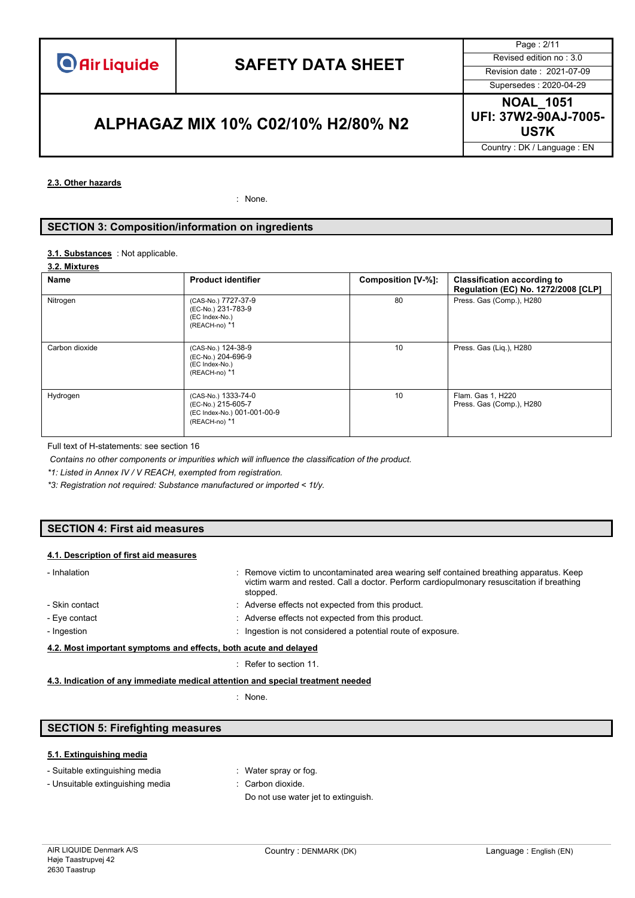Page : 2/11 Supersedes : 2020-04-29

### **US7K ALPHAGAZ MIX 10% C02/10% H2/80% N2**

**NOAL\_1051 UFI: 37W2-90AJ-7005-**

Country : DK / Language : EN

#### **2.3. Other hazards**

: None.

#### **SECTION 3: Composition/information on ingredients**

#### 3.1. **Substances** : Not applicable.

#### **3.2. Mixtures**

| Name           | <b>Product identifier</b>                                                                 | Composition [V-%]: | <b>Classification according to</b><br>Regulation (EC) No. 1272/2008 [CLP] |
|----------------|-------------------------------------------------------------------------------------------|--------------------|---------------------------------------------------------------------------|
| Nitrogen       | (CAS-No.) 7727-37-9<br>(EC-No.) 231-783-9<br>(EC Index-No.)<br>(REACH-no) *1              | 80                 | Press. Gas (Comp.), H280                                                  |
| Carbon dioxide | (CAS-No.) 124-38-9<br>(EC-No.) 204-696-9<br>(EC Index-No.)<br>(REACH-no) *1               | 10                 | Press. Gas (Liq.), H280                                                   |
| Hydrogen       | (CAS-No.) 1333-74-0<br>(EC-No.) 215-605-7<br>(EC Index-No.) 001-001-00-9<br>(REACH-no) *1 | 10                 | Flam. Gas 1, H220<br>Press. Gas (Comp.), H280                             |

Full text of H-statements: see section 16

*Contains no other components or impurities which will influence the classification of the product.*

*\*1: Listed in Annex IV / V REACH, exempted from registration.*

*\*3: Registration not required: Substance manufactured or imported < 1t/y.*

#### **SECTION 4: First aid measures**

#### **4.1. Description of first aid measures**

| - Inhalation                                                     | : Remove victim to uncontaminated area wearing self contained breathing apparatus. Keep<br>victim warm and rested. Call a doctor. Perform cardiopulmonary resuscitation if breathing<br>stopped. |
|------------------------------------------------------------------|--------------------------------------------------------------------------------------------------------------------------------------------------------------------------------------------------|
| - Skin contact                                                   | : Adverse effects not expected from this product.                                                                                                                                                |
| - Eye contact                                                    | : Adverse effects not expected from this product.                                                                                                                                                |
| - Ingestion                                                      | Ingestion is not considered a potential route of exposure.                                                                                                                                       |
| 4.2. Most important symptoms and effects, both acute and delayed |                                                                                                                                                                                                  |
|                                                                  |                                                                                                                                                                                                  |

#### : Refer to section 11.

#### **4.3. Indication of any immediate medical attention and special treatment needed**

: None.

#### **SECTION 5: Firefighting measures**

#### **5.1. Extinguishing media**

|  |  | - Suitable extinguishing media |  |
|--|--|--------------------------------|--|
|--|--|--------------------------------|--|

- : Water spray or fog.
- Unsuitable extinguishing media : Carbon dioxide.
	-
	- Do not use water jet to extinguish.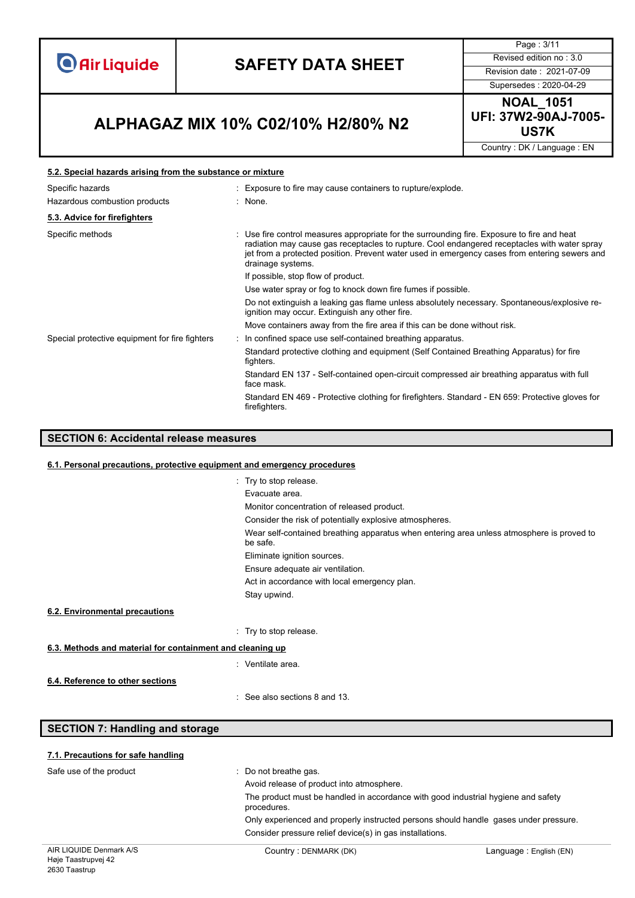**O** Air Liquide

# **SAFETY DATA SHEET** Revised edition no : 3.0

Page : 3/11

### **US7K ALPHAGAZ MIX 10% C02/10% H2/80% N2**

Supersedes : 2020-04-29 **NOAL\_1051 UFI: 37W2-90AJ-7005-**

Country : DK / Language : EN

#### **5.2. Special hazards arising from the substance or mixture**

| : Exposure to fire may cause containers to rupture/explode.                                                                                                                                                                                                                                                     |  |
|-----------------------------------------------------------------------------------------------------------------------------------------------------------------------------------------------------------------------------------------------------------------------------------------------------------------|--|
| : None.                                                                                                                                                                                                                                                                                                         |  |
|                                                                                                                                                                                                                                                                                                                 |  |
| Use fire control measures appropriate for the surrounding fire. Exposure to fire and heat<br>radiation may cause gas receptacles to rupture. Cool endangered receptacles with water spray<br>jet from a protected position. Prevent water used in emergency cases from entering sewers and<br>drainage systems. |  |
| If possible, stop flow of product.                                                                                                                                                                                                                                                                              |  |
| Use water spray or fog to knock down fire fumes if possible.                                                                                                                                                                                                                                                    |  |
| Do not extinguish a leaking gas flame unless absolutely necessary. Spontaneous/explosive re-<br>ignition may occur. Extinguish any other fire.                                                                                                                                                                  |  |
| Move containers away from the fire area if this can be done without risk.                                                                                                                                                                                                                                       |  |
| : In confined space use self-contained breathing apparatus.                                                                                                                                                                                                                                                     |  |
| Standard protective clothing and equipment (Self Contained Breathing Apparatus) for fire<br>fighters.                                                                                                                                                                                                           |  |
| Standard EN 137 - Self-contained open-circuit compressed air breathing apparatus with full<br>face mask.                                                                                                                                                                                                        |  |
| Standard EN 469 - Protective clothing for firefighters. Standard - EN 659: Protective gloves for<br>firefighters.                                                                                                                                                                                               |  |
|                                                                                                                                                                                                                                                                                                                 |  |

### **SECTION 6: Accidental release measures**

#### **6.1. Personal precautions, protective equipment and emergency procedures**

|                                                           | : Try to stop release.                                                                                |
|-----------------------------------------------------------|-------------------------------------------------------------------------------------------------------|
|                                                           | Evacuate area.                                                                                        |
|                                                           | Monitor concentration of released product.                                                            |
|                                                           | Consider the risk of potentially explosive atmospheres.                                               |
|                                                           | Wear self-contained breathing apparatus when entering area unless atmosphere is proved to<br>be safe. |
|                                                           | Eliminate ignition sources.                                                                           |
|                                                           | Ensure adequate air ventilation.                                                                      |
|                                                           | Act in accordance with local emergency plan.                                                          |
|                                                           | Stay upwind.                                                                                          |
| 6.2. Environmental precautions                            |                                                                                                       |
|                                                           | : Try to stop release.                                                                                |
| 6.3. Methods and material for containment and cleaning up |                                                                                                       |
|                                                           | : Ventilate area.                                                                                     |
| 6.4. Reference to other sections                          |                                                                                                       |
|                                                           | $\therefore$ See also sections 8 and 13.                                                              |

#### **SECTION 7: Handling and storage**

| 7.1. Precautions for safe handling |                                                                                                  |                         |
|------------------------------------|--------------------------------------------------------------------------------------------------|-------------------------|
| Safe use of the product            | : Do not breathe gas.                                                                            |                         |
|                                    | Avoid release of product into atmosphere.                                                        |                         |
|                                    | The product must be handled in accordance with good industrial hygiene and safety<br>procedures. |                         |
|                                    | Only experienced and properly instructed persons should handle gases under pressure.             |                         |
|                                    | Consider pressure relief device(s) in gas installations.                                         |                         |
| AIR LIQUIDE Denmark A/S            | Country: DENMARK (DK)                                                                            | Language : English (EN) |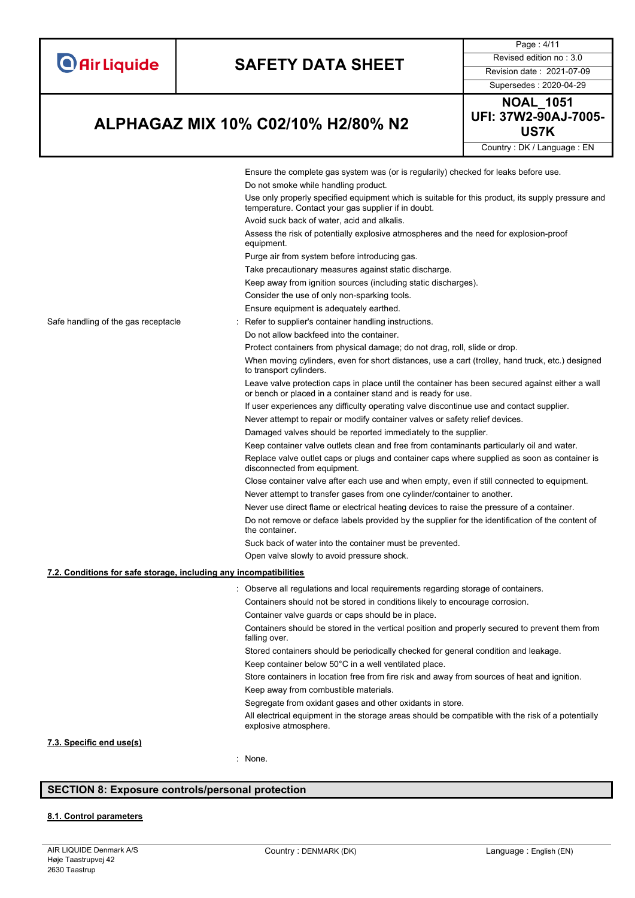|                                                                   |  |                                                                                                                                                                  | Page: 4/11                |  |
|-------------------------------------------------------------------|--|------------------------------------------------------------------------------------------------------------------------------------------------------------------|---------------------------|--|
| <b>O</b> Air Liquide                                              |  | <b>SAFETY DATA SHEET</b>                                                                                                                                         | Revised edition no: 3.0   |  |
|                                                                   |  |                                                                                                                                                                  | Revision date: 2021-07-09 |  |
|                                                                   |  |                                                                                                                                                                  | Supersedes: 2020-04-29    |  |
|                                                                   |  |                                                                                                                                                                  | <b>NOAL_1051</b>          |  |
| ALPHAGAZ MIX 10% C02/10% H2/80% N2                                |  | UFI: 37W2-90AJ-7005-<br><b>US7K</b>                                                                                                                              |                           |  |
|                                                                   |  | Country: DK / Language: EN                                                                                                                                       |                           |  |
|                                                                   |  | Ensure the complete gas system was (or is regularily) checked for leaks before use.<br>Do not smoke while handling product.                                      |                           |  |
|                                                                   |  | Use only properly specified equipment which is suitable for this product, its supply pressure and<br>temperature. Contact your gas supplier if in doubt.         |                           |  |
|                                                                   |  | Avoid suck back of water, acid and alkalis.                                                                                                                      |                           |  |
|                                                                   |  | Assess the risk of potentially explosive atmospheres and the need for explosion-proof<br>equipment.                                                              |                           |  |
|                                                                   |  | Purge air from system before introducing gas.                                                                                                                    |                           |  |
|                                                                   |  | Take precautionary measures against static discharge.                                                                                                            |                           |  |
|                                                                   |  | Keep away from ignition sources (including static discharges).                                                                                                   |                           |  |
|                                                                   |  | Consider the use of only non-sparking tools.                                                                                                                     |                           |  |
|                                                                   |  | Ensure equipment is adequately earthed.                                                                                                                          |                           |  |
| Safe handling of the gas receptacle                               |  | Refer to supplier's container handling instructions.                                                                                                             |                           |  |
|                                                                   |  | Do not allow backfeed into the container.                                                                                                                        |                           |  |
|                                                                   |  | Protect containers from physical damage; do not drag, roll, slide or drop.                                                                                       |                           |  |
|                                                                   |  | When moving cylinders, even for short distances, use a cart (trolley, hand truck, etc.) designed<br>to transport cylinders.                                      |                           |  |
|                                                                   |  | Leave valve protection caps in place until the container has been secured against either a wall<br>or bench or placed in a container stand and is ready for use. |                           |  |
|                                                                   |  | If user experiences any difficulty operating valve discontinue use and contact supplier.                                                                         |                           |  |
|                                                                   |  | Never attempt to repair or modify container valves or safety relief devices.                                                                                     |                           |  |
|                                                                   |  | Damaged valves should be reported immediately to the supplier.                                                                                                   |                           |  |
|                                                                   |  | Keep container valve outlets clean and free from contaminants particularly oil and water.                                                                        |                           |  |
|                                                                   |  | Replace valve outlet caps or plugs and container caps where supplied as soon as container is<br>disconnected from equipment.                                     |                           |  |
|                                                                   |  | Close container valve after each use and when empty, even if still connected to equipment.                                                                       |                           |  |
|                                                                   |  | Never attempt to transfer gases from one cylinder/container to another.                                                                                          |                           |  |
|                                                                   |  | Never use direct flame or electrical heating devices to raise the pressure of a container.                                                                       |                           |  |
|                                                                   |  | Do not remove or deface labels provided by the supplier for the identification of the content of<br>the container.                                               |                           |  |
|                                                                   |  | Suck back of water into the container must be prevented.                                                                                                         |                           |  |
|                                                                   |  | Open valve slowly to avoid pressure shock.                                                                                                                       |                           |  |
| 7.2. Conditions for safe storage, including any incompatibilities |  |                                                                                                                                                                  |                           |  |
|                                                                   |  | Observe all regulations and local requirements regarding storage of containers.                                                                                  |                           |  |
|                                                                   |  | Containers should not be stored in conditions likely to encourage corrosion.                                                                                     |                           |  |
|                                                                   |  | Container valve guards or caps should be in place.                                                                                                               |                           |  |
|                                                                   |  | Containers should be stored in the vertical position and properly secured to prevent them from<br>falling over.                                                  |                           |  |
|                                                                   |  | Stored containers should be periodically checked for general condition and leakage.                                                                              |                           |  |
|                                                                   |  | Keep container below 50°C in a well ventilated place.                                                                                                            |                           |  |
|                                                                   |  | Store containers in location free from fire risk and away from sources of heat and ignition.                                                                     |                           |  |
|                                                                   |  | Keep away from combustible materials.                                                                                                                            |                           |  |
|                                                                   |  | Segregate from oxidant gases and other oxidants in store.<br>All electrical equipment in the storage areas should be compatible with the risk of a potentially   |                           |  |
|                                                                   |  | explosive atmosphere.                                                                                                                                            |                           |  |

#### **7.3. Specific end use(s)**

: None.

### **SECTION 8: Exposure controls/personal protection**

#### **8.1. Control parameters**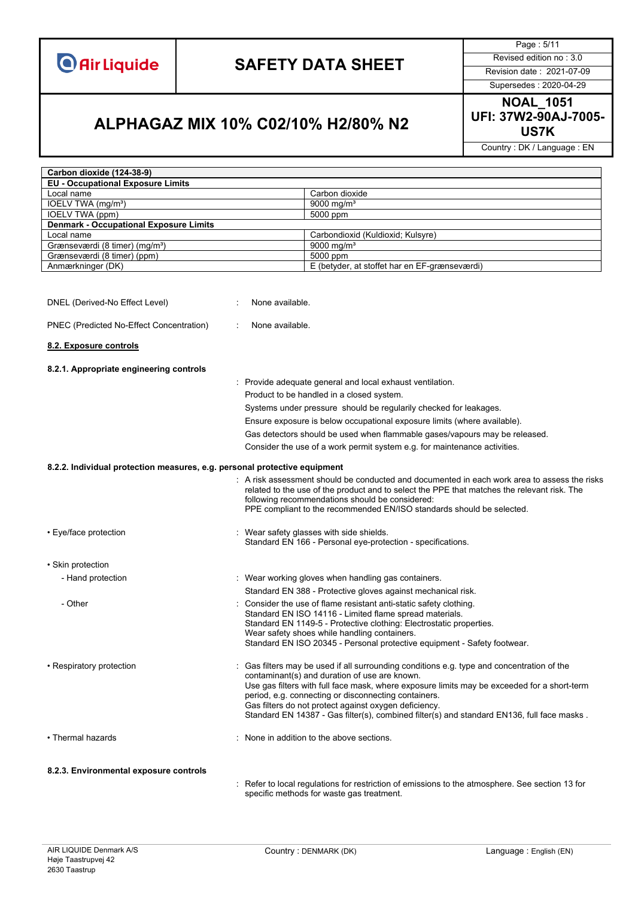

Page : 5/11

Supersedes : 2020-04-29

### **US7K ALPHAGAZ MIX 10% C02/10% H2/80% N2**

**NOAL\_1051 UFI: 37W2-90AJ-7005-**

Country : DK / Language : EN

| Carbon dioxide (124-38-9)                                                 |                                                                                                                                                                                                                                                                                                                                                                                                                                                         |  |
|---------------------------------------------------------------------------|---------------------------------------------------------------------------------------------------------------------------------------------------------------------------------------------------------------------------------------------------------------------------------------------------------------------------------------------------------------------------------------------------------------------------------------------------------|--|
| <b>EU - Occupational Exposure Limits</b>                                  |                                                                                                                                                                                                                                                                                                                                                                                                                                                         |  |
| Local name                                                                | Carbon dioxide                                                                                                                                                                                                                                                                                                                                                                                                                                          |  |
| IOELV TWA (mg/m <sup>3</sup> )                                            | 9000 mg/m <sup>3</sup>                                                                                                                                                                                                                                                                                                                                                                                                                                  |  |
| IOELV TWA (ppm)                                                           | 5000 ppm                                                                                                                                                                                                                                                                                                                                                                                                                                                |  |
| <b>Denmark - Occupational Exposure Limits</b>                             |                                                                                                                                                                                                                                                                                                                                                                                                                                                         |  |
| Local name                                                                | Carbondioxid (Kuldioxid; Kulsyre)                                                                                                                                                                                                                                                                                                                                                                                                                       |  |
| Grænseværdi (8 timer) (mg/m <sup>3</sup> )                                | 9000 mg/m <sup>3</sup>                                                                                                                                                                                                                                                                                                                                                                                                                                  |  |
| Grænseværdi (8 timer) (ppm)                                               | 5000 ppm                                                                                                                                                                                                                                                                                                                                                                                                                                                |  |
| Anmærkninger (DK)                                                         | E (betyder, at stoffet har en EF-grænseværdi)                                                                                                                                                                                                                                                                                                                                                                                                           |  |
| DNEL (Derived-No Effect Level)                                            | None available.                                                                                                                                                                                                                                                                                                                                                                                                                                         |  |
| PNEC (Predicted No-Effect Concentration)                                  | None available.                                                                                                                                                                                                                                                                                                                                                                                                                                         |  |
| 8.2. Exposure controls                                                    |                                                                                                                                                                                                                                                                                                                                                                                                                                                         |  |
| 8.2.1. Appropriate engineering controls                                   |                                                                                                                                                                                                                                                                                                                                                                                                                                                         |  |
|                                                                           | : Provide adequate general and local exhaust ventilation.                                                                                                                                                                                                                                                                                                                                                                                               |  |
|                                                                           | Product to be handled in a closed system.                                                                                                                                                                                                                                                                                                                                                                                                               |  |
|                                                                           | Systems under pressure should be regularily checked for leakages.                                                                                                                                                                                                                                                                                                                                                                                       |  |
|                                                                           | Ensure exposure is below occupational exposure limits (where available).                                                                                                                                                                                                                                                                                                                                                                                |  |
|                                                                           | Gas detectors should be used when flammable gases/vapours may be released.                                                                                                                                                                                                                                                                                                                                                                              |  |
|                                                                           |                                                                                                                                                                                                                                                                                                                                                                                                                                                         |  |
|                                                                           | Consider the use of a work permit system e.g. for maintenance activities.                                                                                                                                                                                                                                                                                                                                                                               |  |
| 8.2.2. Individual protection measures, e.g. personal protective equipment |                                                                                                                                                                                                                                                                                                                                                                                                                                                         |  |
|                                                                           | : A risk assessment should be conducted and documented in each work area to assess the risks<br>related to the use of the product and to select the PPE that matches the relevant risk. The<br>following recommendations should be considered:<br>PPE compliant to the recommended EN/ISO standards should be selected.                                                                                                                                 |  |
| • Eye/face protection                                                     | Wear safety glasses with side shields.<br>Standard EN 166 - Personal eye-protection - specifications.                                                                                                                                                                                                                                                                                                                                                   |  |
| • Skin protection                                                         |                                                                                                                                                                                                                                                                                                                                                                                                                                                         |  |
| - Hand protection                                                         | : Wear working gloves when handling gas containers.                                                                                                                                                                                                                                                                                                                                                                                                     |  |
|                                                                           | Standard EN 388 - Protective gloves against mechanical risk.                                                                                                                                                                                                                                                                                                                                                                                            |  |
| - Other                                                                   | Consider the use of flame resistant anti-static safety clothing.<br>Standard EN ISO 14116 - Limited flame spread materials.<br>Standard EN 1149-5 - Protective clothing: Electrostatic properties.<br>Wear safety shoes while handling containers.<br>Standard EN ISO 20345 - Personal protective equipment - Safety footwear.                                                                                                                          |  |
| • Respiratory protection                                                  | Gas filters may be used if all surrounding conditions e.g. type and concentration of the<br>contaminant(s) and duration of use are known.<br>Use gas filters with full face mask, where exposure limits may be exceeded for a short-term<br>period, e.g. connecting or disconnecting containers.<br>Gas filters do not protect against oxygen deficiency.<br>Standard EN 14387 - Gas filter(s), combined filter(s) and standard EN136, full face masks. |  |
| • Thermal hazards                                                         | None in addition to the above sections.                                                                                                                                                                                                                                                                                                                                                                                                                 |  |
| 8.2.3. Environmental exposure controls                                    |                                                                                                                                                                                                                                                                                                                                                                                                                                                         |  |

: Refer to local regulations for restriction of emissions to the atmosphere. See section 13 for specific methods for waste gas treatment.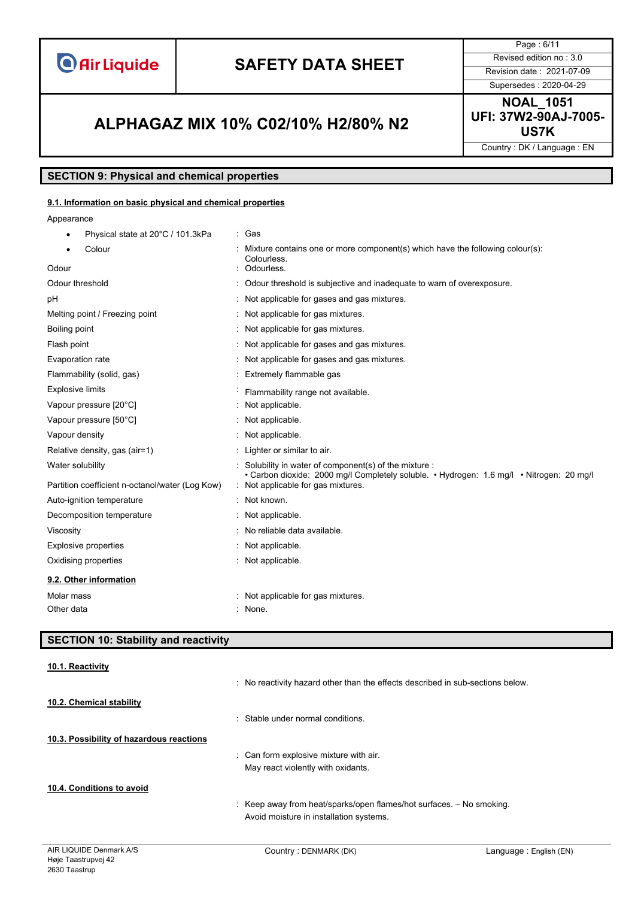**O** Air Liquide

# **SAFETY DATA SHEET** Revised edition no : 3.0

Page : 6/11 Supersedes : 2020-04-29

### **US7K ALPHAGAZ MIX 10% C02/10% H2/80% N2**

**NOAL\_1051 UFI: 37W2-90AJ-7005-**

Country : DK / Language : EN

#### **SECTION 9: Physical and chemical properties**

#### **9.1. Information on basic physical and chemical properties**

Appearance

| Physical state at 20°C / 101.3kPa               | : Gas                                                                                                                                              |  |
|-------------------------------------------------|----------------------------------------------------------------------------------------------------------------------------------------------------|--|
| Colour                                          | Mixture contains one or more component(s) which have the following colour(s):<br>Colourless.                                                       |  |
| Odour                                           | : Odourless.                                                                                                                                       |  |
| Odour threshold                                 | : Odour threshold is subjective and inadequate to warn of overexposure.                                                                            |  |
| рH                                              | : Not applicable for gases and gas mixtures.                                                                                                       |  |
| Melting point / Freezing point                  | : Not applicable for gas mixtures.                                                                                                                 |  |
| Boiling point                                   | : Not applicable for gas mixtures.                                                                                                                 |  |
| Flash point                                     | : Not applicable for gases and gas mixtures.                                                                                                       |  |
| Evaporation rate                                | : Not applicable for gases and gas mixtures.                                                                                                       |  |
| Flammability (solid, gas)                       | : Extremely flammable gas                                                                                                                          |  |
| <b>Explosive limits</b>                         | Flammability range not available.                                                                                                                  |  |
| Vapour pressure [20°C]                          | : Not applicable.                                                                                                                                  |  |
| Vapour pressure [50°C]                          | : Not applicable.                                                                                                                                  |  |
| Vapour density                                  | : Not applicable.                                                                                                                                  |  |
| Relative density, gas (air=1)                   | : Lighter or similar to air.                                                                                                                       |  |
| Water solubility                                | : Solubility in water of component(s) of the mixture :<br>· Carbon dioxide: 2000 mg/l Completely soluble. • Hydrogen: 1.6 mg/l • Nitrogen: 20 mg/l |  |
| Partition coefficient n-octanol/water (Log Kow) | : Not applicable for gas mixtures.                                                                                                                 |  |
| Auto-ignition temperature                       | : Not known.                                                                                                                                       |  |
| Decomposition temperature                       | : Not applicable.                                                                                                                                  |  |
| Viscosity                                       | : No reliable data available.                                                                                                                      |  |
| <b>Explosive properties</b>                     | : Not applicable.                                                                                                                                  |  |
| Oxidising properties                            | : Not applicable.                                                                                                                                  |  |
| 9.2. Other information                          |                                                                                                                                                    |  |
| Molar mass                                      | : Not applicable for gas mixtures.                                                                                                                 |  |
| Other data                                      | : None.                                                                                                                                            |  |

### **SECTION 10: Stability and reactivity 10.1. Reactivity** : No reactivity hazard other than the effects described in sub-sections below. **10.2. Chemical stability** : Stable under normal conditions. **10.3. Possibility of hazardous reactions** : Can form explosive mixture with air. May react violently with oxidants. **10.4. Conditions to avoid** : Keep away from heat/sparks/open flames/hot surfaces. – No smoking. Avoid moisture in installation systems.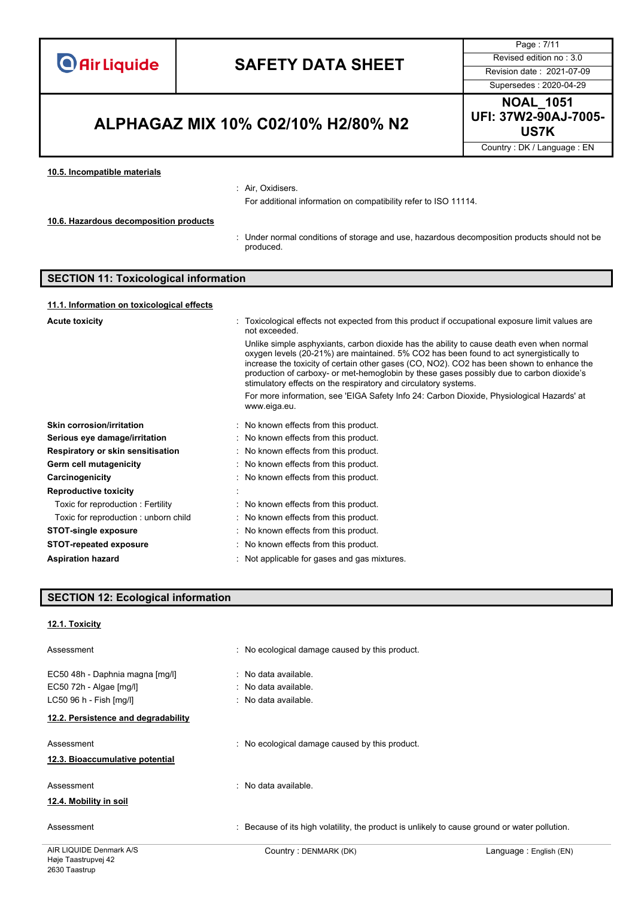|                                              |                                                                                                                                                                                                                                                                                                                                                                                                                                                                                                                                                              | Page: 7/11                                       |  |
|----------------------------------------------|--------------------------------------------------------------------------------------------------------------------------------------------------------------------------------------------------------------------------------------------------------------------------------------------------------------------------------------------------------------------------------------------------------------------------------------------------------------------------------------------------------------------------------------------------------------|--------------------------------------------------|--|
|                                              |                                                                                                                                                                                                                                                                                                                                                                                                                                                                                                                                                              | Revised edition no: 3.0                          |  |
| <b>O</b> Air Liquide                         | <b>SAFETY DATA SHEET</b>                                                                                                                                                                                                                                                                                                                                                                                                                                                                                                                                     | Revision date: 2021-07-09                        |  |
|                                              |                                                                                                                                                                                                                                                                                                                                                                                                                                                                                                                                                              |                                                  |  |
|                                              |                                                                                                                                                                                                                                                                                                                                                                                                                                                                                                                                                              | Supersedes: 2020-04-29                           |  |
| ALPHAGAZ MIX 10% C02/10% H2/80% N2           |                                                                                                                                                                                                                                                                                                                                                                                                                                                                                                                                                              | <b>NOAL_1051</b><br>UFI: 37W2-90AJ-7005-<br>US7K |  |
|                                              |                                                                                                                                                                                                                                                                                                                                                                                                                                                                                                                                                              | Country: DK / Language: EN                       |  |
|                                              |                                                                                                                                                                                                                                                                                                                                                                                                                                                                                                                                                              |                                                  |  |
| 10.5. Incompatible materials                 | : Air, Oxidisers.<br>For additional information on compatibility refer to ISO 11114.                                                                                                                                                                                                                                                                                                                                                                                                                                                                         |                                                  |  |
| 10.6. Hazardous decomposition products       |                                                                                                                                                                                                                                                                                                                                                                                                                                                                                                                                                              |                                                  |  |
|                                              | : Under normal conditions of storage and use, hazardous decomposition products should not be<br>produced.                                                                                                                                                                                                                                                                                                                                                                                                                                                    |                                                  |  |
| <b>SECTION 11: Toxicological information</b> |                                                                                                                                                                                                                                                                                                                                                                                                                                                                                                                                                              |                                                  |  |
| 11.1. Information on toxicological effects   |                                                                                                                                                                                                                                                                                                                                                                                                                                                                                                                                                              |                                                  |  |
| <b>Acute toxicity</b>                        | Toxicological effects not expected from this product if occupational exposure limit values are<br>not exceeded.                                                                                                                                                                                                                                                                                                                                                                                                                                              |                                                  |  |
|                                              | Unlike simple asphyxiants, carbon dioxide has the ability to cause death even when normal<br>oxygen levels (20-21%) are maintained. 5% CO2 has been found to act synergistically to<br>increase the toxicity of certain other gases (CO, NO2). CO2 has been shown to enhance the<br>production of carboxy- or met-hemoglobin by these gases possibly due to carbon dioxide's<br>stimulatory effects on the respiratory and circulatory systems.<br>For more information, see 'EIGA Safety Info 24: Carbon Dioxide, Physiological Hazards' at<br>www.eiga.eu. |                                                  |  |
| <b>Skin corrosion/irritation</b>             | : No known effects from this product.                                                                                                                                                                                                                                                                                                                                                                                                                                                                                                                        |                                                  |  |
| Serious eye damage/irritation                | : No known effects from this product.                                                                                                                                                                                                                                                                                                                                                                                                                                                                                                                        |                                                  |  |
| Respiratory or skin sensitisation            | : No known effects from this product.                                                                                                                                                                                                                                                                                                                                                                                                                                                                                                                        |                                                  |  |
| Germ cell mutagenicity                       | No known effects from this product.                                                                                                                                                                                                                                                                                                                                                                                                                                                                                                                          |                                                  |  |
| <b>Carcinogenicity</b>                       | No known effects from this product.                                                                                                                                                                                                                                                                                                                                                                                                                                                                                                                          |                                                  |  |
| <b>Reproductive toxicity</b>                 |                                                                                                                                                                                                                                                                                                                                                                                                                                                                                                                                                              |                                                  |  |
| Toxic for reproduction: Fertility            | No known effects from this product.                                                                                                                                                                                                                                                                                                                                                                                                                                                                                                                          |                                                  |  |
| Toxic for reproduction: unborn child         | No known effects from this product.                                                                                                                                                                                                                                                                                                                                                                                                                                                                                                                          |                                                  |  |
| <b>STOT-single exposure</b>                  | No known effects from this product.                                                                                                                                                                                                                                                                                                                                                                                                                                                                                                                          |                                                  |  |

- **STOT-repeated exposure** : No known effects from this product.
- Aspiration hazard<br> **Aspiration** hazard<br> **Aspiration** hazard<br> **Aspiration** hazard<br> **Aspiration** hazard<br> **Aspiration** hazard<br> **Aspiration** hazard<br> **Aspiration** is not all the set of the set of the set of the set of the set o

### **SECTION 12: Ecological information**

#### **12.1. Toxicity**

| Assessment                                                     | : No ecological damage caused by this product.                                                |                        |
|----------------------------------------------------------------|-----------------------------------------------------------------------------------------------|------------------------|
| EC50 48h - Daphnia magna [mg/l]<br>EC50 72h - Algae [mg/l]     | : No data available.<br>: No data available.                                                  |                        |
| LC50 96 h - Fish [mg/l]<br>12.2. Persistence and degradability | : No data available.                                                                          |                        |
| Assessment<br>12.3. Bioaccumulative potential                  | : No ecological damage caused by this product.                                                |                        |
| Assessment<br>12.4. Mobility in soil                           | : No data available.                                                                          |                        |
| Assessment                                                     | : Because of its high volatility, the product is unlikely to cause ground or water pollution. |                        |
| AIR LIQUIDE Denmark A/S                                        | Country: DENMARK (DK)                                                                         | Language: English (EN) |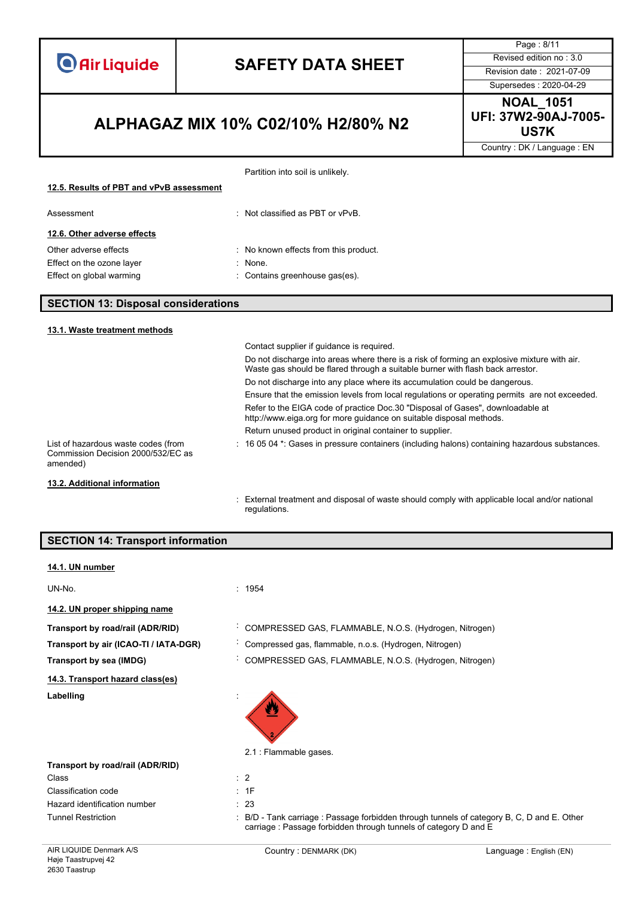|                                                                                       |                                                                                                                                                                               | Page: 8/11                                       |
|---------------------------------------------------------------------------------------|-------------------------------------------------------------------------------------------------------------------------------------------------------------------------------|--------------------------------------------------|
|                                                                                       |                                                                                                                                                                               | Revised edition no: 3.0                          |
| <b>Air Liquide</b>                                                                    | <b>SAFETY DATA SHEET</b>                                                                                                                                                      | Revision date: 2021-07-09                        |
|                                                                                       |                                                                                                                                                                               | Supersedes: 2020-04-29                           |
| ALPHAGAZ MIX 10% C02/10% H2/80% N2                                                    |                                                                                                                                                                               | <b>NOAL_1051</b><br>UFI: 37W2-90AJ-7005-<br>US7K |
|                                                                                       |                                                                                                                                                                               | Country: DK / Language: EN                       |
|                                                                                       | Partition into soil is unlikely.                                                                                                                                              |                                                  |
| 12.5. Results of PBT and vPvB assessment                                              |                                                                                                                                                                               |                                                  |
| Assessment                                                                            | : Not classified as PBT or vPvB.                                                                                                                                              |                                                  |
| 12.6. Other adverse effects                                                           |                                                                                                                                                                               |                                                  |
| Other adverse effects                                                                 | : No known effects from this product.                                                                                                                                         |                                                  |
| Effect on the ozone layer                                                             | $:$ None.                                                                                                                                                                     |                                                  |
| Effect on global warming                                                              | : Contains greenhouse gas(es).                                                                                                                                                |                                                  |
| <b>SECTION 13: Disposal considerations</b>                                            |                                                                                                                                                                               |                                                  |
| 13.1. Waste treatment methods                                                         |                                                                                                                                                                               |                                                  |
|                                                                                       | Contact supplier if guidance is required.                                                                                                                                     |                                                  |
|                                                                                       | Do not discharge into areas where there is a risk of forming an explosive mixture with air.<br>Waste gas should be flared through a suitable burner with flash back arrestor. |                                                  |
|                                                                                       | Do not discharge into any place where its accumulation could be dangerous.                                                                                                    |                                                  |
|                                                                                       | Ensure that the emission levels from local regulations or operating permits are not exceeded.                                                                                 |                                                  |
|                                                                                       | Refer to the EIGA code of practice Doc.30 "Disposal of Gases", downloadable at<br>http://www.eiga.org for more guidance on suitable disposal methods.                         |                                                  |
|                                                                                       | Return unused product in original container to supplier.                                                                                                                      |                                                  |
| List of hazardous waste codes (from<br>Commission Decision 2000/532/EC as<br>amended) | : 16 05 04 *: Gases in pressure containers (including halons) containing hazardous substances.                                                                                |                                                  |
| 13.2. Additional information                                                          |                                                                                                                                                                               |                                                  |
|                                                                                       | ومنافهم ومراادهم المجمل والطموالوسيم والانبيساس ومساوي والرومات والمستحقق المحمود والمستحدث والمستحل والمستحلات                                                               |                                                  |

| : External treatment and disposal of waste should comply with applicable local and/or national |
|------------------------------------------------------------------------------------------------|
| regulations.                                                                                   |
|                                                                                                |

| <b>SECTION 14: Transport information</b>       |                                                                                                                                                             |                        |
|------------------------------------------------|-------------------------------------------------------------------------------------------------------------------------------------------------------------|------------------------|
| 14.1. UN number                                |                                                                                                                                                             |                        |
| UN-No.                                         | : 1954                                                                                                                                                      |                        |
| 14.2. UN proper shipping name                  |                                                                                                                                                             |                        |
| Transport by road/rail (ADR/RID)               | COMPRESSED GAS, FLAMMABLE, N.O.S. (Hydrogen, Nitrogen)                                                                                                      |                        |
| Transport by air (ICAO-TI / IATA-DGR)          | Compressed gas, flammable, n.o.s. (Hydrogen, Nitrogen)                                                                                                      |                        |
| Transport by sea (IMDG)                        | COMPRESSED GAS, FLAMMABLE, N.O.S. (Hydrogen, Nitrogen)<br>$\blacksquare$                                                                                    |                        |
| 14.3. Transport hazard class(es)               |                                                                                                                                                             |                        |
| Labelling                                      |                                                                                                                                                             |                        |
|                                                | 2.1 : Flammable gases.                                                                                                                                      |                        |
| Transport by road/rail (ADR/RID)               |                                                                                                                                                             |                        |
| Class                                          | $\therefore$ 2                                                                                                                                              |                        |
| Classification code                            | : 1F                                                                                                                                                        |                        |
| Hazard identification number                   | : 23                                                                                                                                                        |                        |
| <b>Tunnel Restriction</b>                      | B/D - Tank carriage : Passage forbidden through tunnels of category B, C, D and E. Other<br>carriage: Passage forbidden through tunnels of category D and E |                        |
| AIR LIQUIDE Denmark A/S<br>Høje Taastrupvej 42 | Country: DENMARK (DK)                                                                                                                                       | Language: English (EN) |

2630 Taastrup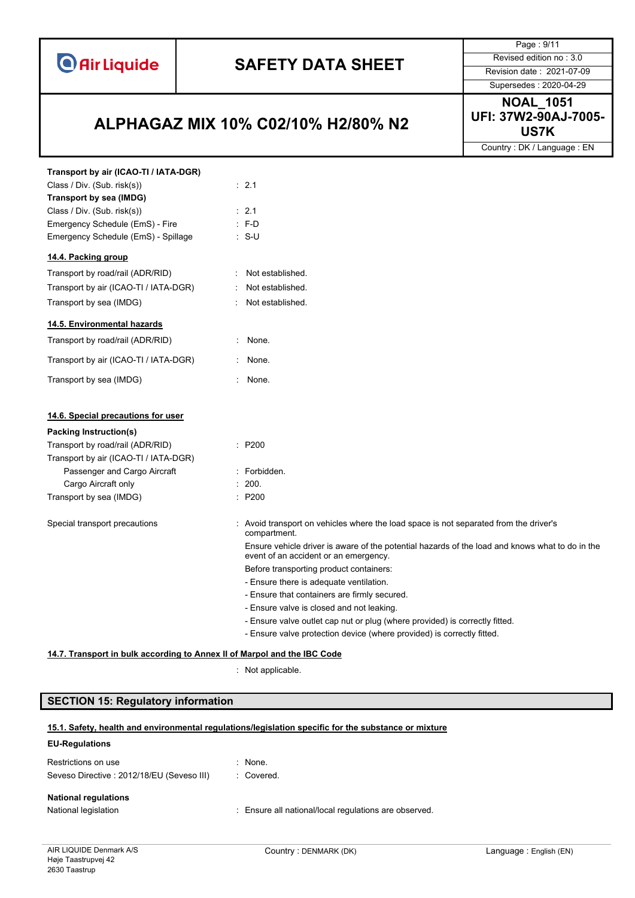

**US7K ALPHAGAZ MIX 10% C02/10% H2/80% N2**

Page : 9/11 Supersedes : 2020-04-29

**NOAL\_1051 UFI: 37W2-90AJ-7005-**

Country : DK / Language : EN

| Transport by air (ICAO-TI / IATA-DGR)                                    |                                                                                                                                          |
|--------------------------------------------------------------------------|------------------------------------------------------------------------------------------------------------------------------------------|
| Class / Div. (Sub. risk(s))                                              | $\therefore$ 2.1                                                                                                                         |
| Transport by sea (IMDG)                                                  |                                                                                                                                          |
| Class / Div. (Sub. risk(s))                                              | $\therefore$ 2.1                                                                                                                         |
| Emergency Schedule (EmS) - Fire                                          | $\therefore$ F-D                                                                                                                         |
| Emergency Schedule (EmS) - Spillage                                      | $: S-U$                                                                                                                                  |
| 14.4. Packing group                                                      |                                                                                                                                          |
| Transport by road/rail (ADR/RID)                                         | : Not established.                                                                                                                       |
| Transport by air (ICAO-TI / IATA-DGR)                                    | Not established.                                                                                                                         |
| Transport by sea (IMDG)                                                  | Not established.                                                                                                                         |
| 14.5. Environmental hazards                                              |                                                                                                                                          |
| Transport by road/rail (ADR/RID)                                         | : None.                                                                                                                                  |
| Transport by air (ICAO-TI / IATA-DGR)                                    | None.                                                                                                                                    |
| Transport by sea (IMDG)                                                  | : None.                                                                                                                                  |
| 14.6. Special precautions for user                                       |                                                                                                                                          |
| Packing Instruction(s)                                                   |                                                                                                                                          |
| Transport by road/rail (ADR/RID)                                         | : P200                                                                                                                                   |
| Transport by air (ICAO-TI / IATA-DGR)                                    |                                                                                                                                          |
| Passenger and Cargo Aircraft                                             | : Forbidden.                                                                                                                             |
| Cargo Aircraft only                                                      | : 200.                                                                                                                                   |
| Transport by sea (IMDG)                                                  | : P200                                                                                                                                   |
| Special transport precautions                                            | : Avoid transport on vehicles where the load space is not separated from the driver's<br>compartment.                                    |
|                                                                          | Ensure vehicle driver is aware of the potential hazards of the load and knows what to do in the<br>event of an accident or an emergency. |
|                                                                          | Before transporting product containers:                                                                                                  |
|                                                                          | - Ensure there is adequate ventilation.                                                                                                  |
|                                                                          | - Ensure that containers are firmly secured.                                                                                             |
|                                                                          | - Ensure valve is closed and not leaking.                                                                                                |
|                                                                          | - Ensure valve outlet cap nut or plug (where provided) is correctly fitted.                                                              |
|                                                                          | - Ensure valve protection device (where provided) is correctly fitted.                                                                   |
| 14.7. Transport in bulk according to Annex II of Marpol and the IBC Code |                                                                                                                                          |

: Not applicable.

#### **SECTION 15: Regulatory information**

#### **15.1. Safety, health and environmental regulations/legislation specific for the substance or mixture**

#### **EU-Regulations**

| Restrictions on use<br>Seveso Directive: 2012/18/EU (Seveso III) | $\therefore$ None.<br>: Covered.                      |
|------------------------------------------------------------------|-------------------------------------------------------|
| <b>National regulations</b>                                      |                                                       |
| National legislation                                             | : Ensure all national/local regulations are observed. |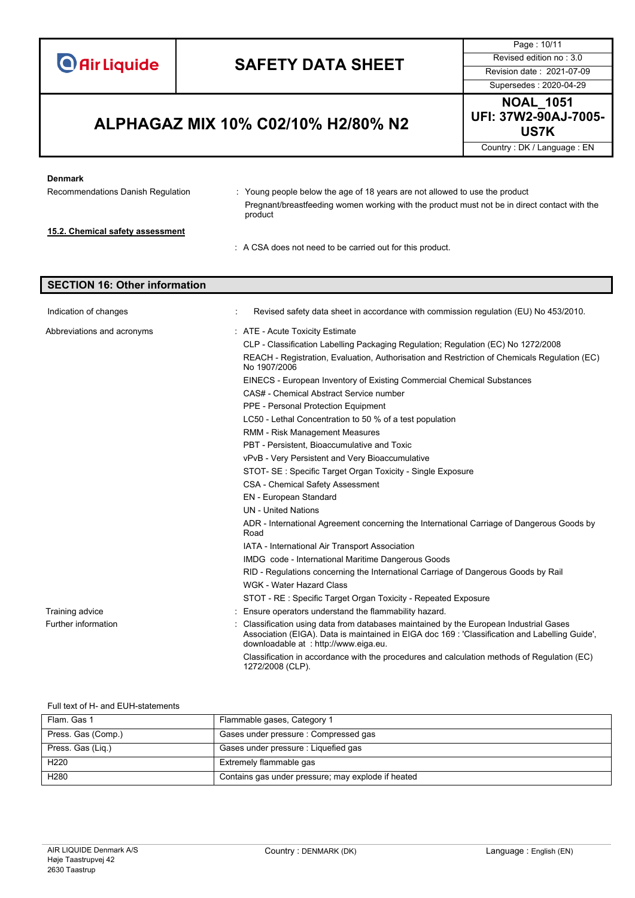

Page : 10/11

### **US7K ALPHAGAZ MIX 10% C02/10% H2/80% N2**

Supersedes : 2020-04-29 **NOAL\_1051 UFI: 37W2-90AJ-7005-**

Country : DK / Language : EN

#### **Denmark**

Recommendations Danish Regulation : Young people below the age of 18 years are not allowed to use the product Pregnant/breastfeeding women working with the product must not be in direct contact with the product **15.2. Chemical safety assessment** : A CSA does not need to be carried out for this product.

#### **SECTION 16: Other information**

| Indication of changes      | Revised safety data sheet in accordance with commission regulation (EU) No 453/2010.                                                                                                                                           |
|----------------------------|--------------------------------------------------------------------------------------------------------------------------------------------------------------------------------------------------------------------------------|
| Abbreviations and acronyms | : ATE - Acute Toxicity Estimate                                                                                                                                                                                                |
|                            | CLP - Classification Labelling Packaging Regulation; Regulation (EC) No 1272/2008                                                                                                                                              |
|                            | REACH - Registration, Evaluation, Authorisation and Restriction of Chemicals Regulation (EC)<br>No 1907/2006                                                                                                                   |
|                            | EINECS - European Inventory of Existing Commercial Chemical Substances                                                                                                                                                         |
|                            | CAS# - Chemical Abstract Service number                                                                                                                                                                                        |
|                            | PPE - Personal Protection Equipment                                                                                                                                                                                            |
|                            | LC50 - Lethal Concentration to 50 % of a test population                                                                                                                                                                       |
|                            | <b>RMM - Risk Management Measures</b>                                                                                                                                                                                          |
|                            | PBT - Persistent. Bioaccumulative and Toxic                                                                                                                                                                                    |
|                            | vPvB - Very Persistent and Very Bioaccumulative                                                                                                                                                                                |
|                            | STOT- SE: Specific Target Organ Toxicity - Single Exposure                                                                                                                                                                     |
|                            | <b>CSA - Chemical Safety Assessment</b>                                                                                                                                                                                        |
|                            | <b>EN</b> - European Standard                                                                                                                                                                                                  |
|                            | <b>UN</b> - United Nations                                                                                                                                                                                                     |
|                            | ADR - International Agreement concerning the International Carriage of Dangerous Goods by<br>Road                                                                                                                              |
|                            | IATA - International Air Transport Association                                                                                                                                                                                 |
|                            | IMDG code - International Maritime Dangerous Goods                                                                                                                                                                             |
|                            | RID - Regulations concerning the International Carriage of Dangerous Goods by Rail                                                                                                                                             |
|                            | <b>WGK - Water Hazard Class</b>                                                                                                                                                                                                |
|                            | STOT - RE: Specific Target Organ Toxicity - Repeated Exposure                                                                                                                                                                  |
| Training advice            | Ensure operators understand the flammability hazard.                                                                                                                                                                           |
| Further information        | Classification using data from databases maintained by the European Industrial Gases<br>Association (EIGA). Data is maintained in EIGA doc 169 : 'Classification and Labelling Guide',<br>downloadable at: http://www.eiga.eu. |
|                            | Classification in accordance with the procedures and calculation methods of Regulation (EC)<br>1272/2008 (CLP).                                                                                                                |

#### Full text of H- and EUH-statements

| Flam, Gas 1        | Flammable gases, Category 1                        |
|--------------------|----------------------------------------------------|
| Press. Gas (Comp.) | Gases under pressure : Compressed gas              |
| Press. Gas (Lig.)  | Gases under pressure : Liquefied gas               |
| H <sub>220</sub>   | Extremely flammable gas                            |
| H <sub>280</sub>   | Contains gas under pressure; may explode if heated |